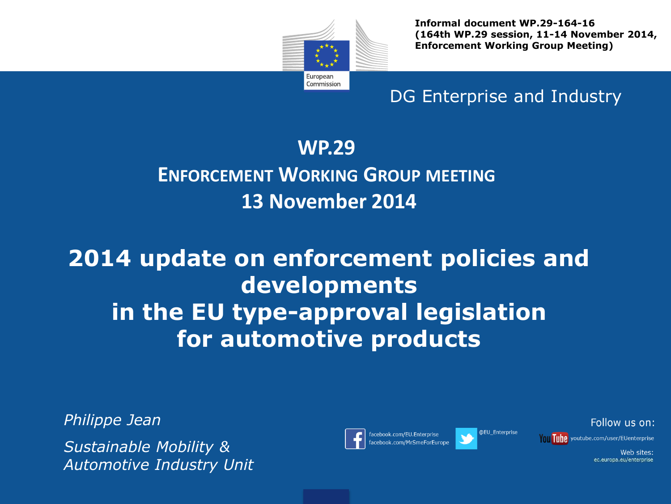

**Informal document WP.29-164-16 (164th WP.29 session, 11-14 November 2014, Enforcement Working Group Meeting)**

DG Enterprise and Industry

#### **WP.29**

### **ENFORCEMENT WORKING GROUP MEETING 13 November 2014**

# **2014 update on enforcement policies and developments in the EU type-approval legislation for automotive products**

*Philippe Jean*

*Sustainable Mobility & Automotive Industry Unit*



facebook.com/EU.Enterprise acebook.com/MrSmeForEurope



@EU Enterprise

Follow us on: Tunn youtube.com/user/EUenterprise

> Web sites: ec.europa.eu/enterprise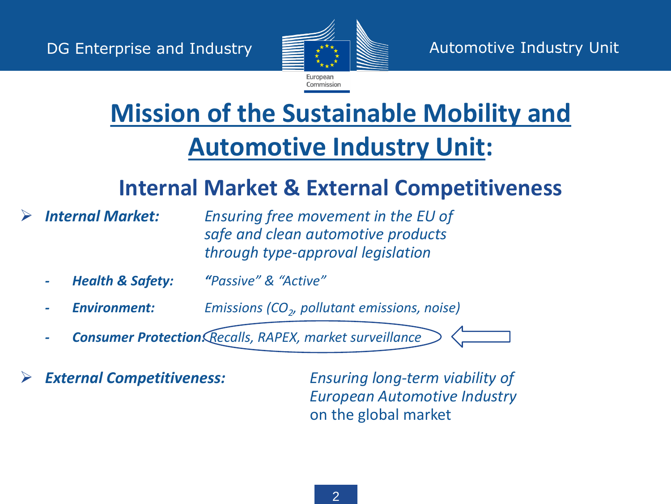

# **Mission of the Sustainable Mobility and Automotive Industry Unit:**

## **Internal Market & External Competitiveness**

 *Internal Market: Ensuring free movement in the EU of safe and clean automotive products through type-approval legislation*

- *- Health & Safety: "Passive" & "Active"*
- *- Environment: Emissions (CO<sup>2</sup> , pollutant emissions, noise)*
	- *- Consumer Protection: Recalls, RAPEX, market surveillance*
- 

 *External Competitiveness: Ensuring long-term viability of European Automotive Industry*  on the global market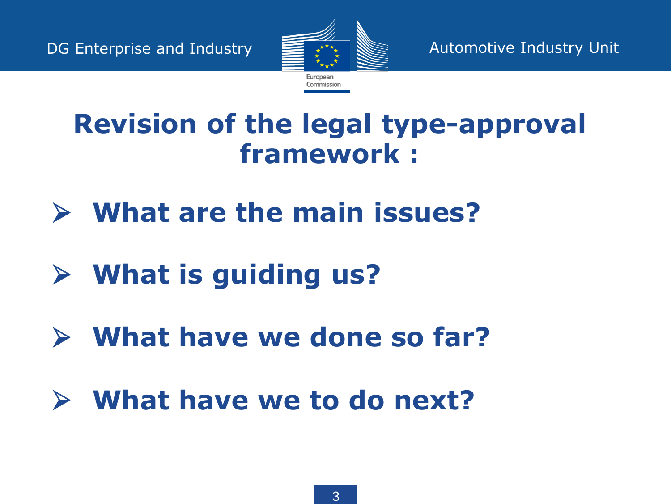

# **Revision of the legal type-approval framework :**

- **What are the main issues?**
- **What is guiding us?**
- **What have we done so far?**
- **What have we to do next?**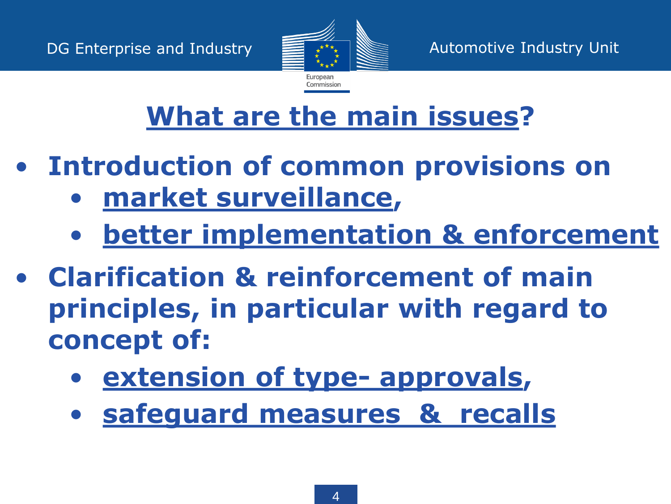

# **What are the main issues?**

- **Introduction of common provisions on**
	- **market surveillance,**
	- **better implementation & enforcement**
- **Clarification & reinforcement of main principles, in particular with regard to concept of:**
	- **extension of type- approvals,**
	- **safeguard measures & recalls**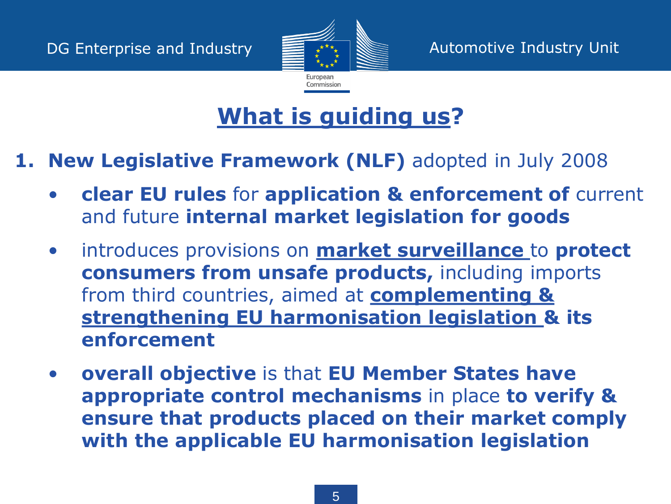

#### **1. New Legislative Framework (NLF)** adopted in July 2008

- **clear EU rules** for **application & enforcement of** current and future **internal market legislation for goods**
- introduces provisions on **market surveillance** to **protect consumers from unsafe products,** including imports from third countries, aimed at **complementing & strengthening EU harmonisation legislation & its enforcement**
- **overall objective** is that **EU Member States have appropriate control mechanisms** in place **to verify & ensure that products placed on their market comply with the applicable EU harmonisation legislation**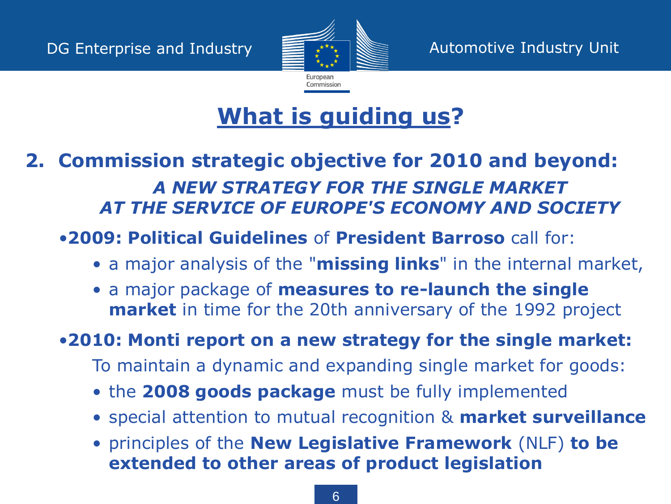

#### **2. Commission strategic objective for 2010 and beyond:** *A NEW STRATEGY FOR THE SINGLE MARKET AT THE SERVICE OF EUROPE'S ECONOMY AND SOCIETY*

#### •**2009: Political Guidelines** of **President Barroso** call for:

- a major analysis of the "**missing links**" in the internal market,
- a major package of **measures to re-launch the single market** in time for the 20th anniversary of the 1992 project

#### •**2010: Monti report on a new strategy for the single market:**

- To maintain a dynamic and expanding single market for goods:
- the **2008 goods package** must be fully implemented
- special attention to mutual recognition & **market surveillance**
- principles of the **New Legislative Framework** (NLF) **to be extended to other areas of product legislation**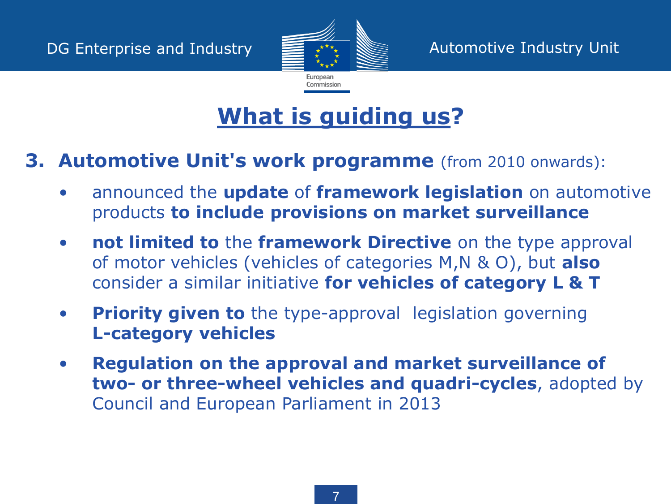

#### **3. Automotive Unit's work programme** (from 2010 onwards):

- announced the **update** of **framework legislation** on automotive products **to include provisions on market surveillance**
- **not limited to** the **framework Directive** on the type approval of motor vehicles (vehicles of categories M,N & O), but **also** consider a similar initiative **for vehicles of category L & T**
- **Priority given to** the type-approval legislation governing **L-category vehicles**
- **Regulation on the approval and market surveillance of two- or three-wheel vehicles and quadri-cycles**, adopted by Council and European Parliament in 2013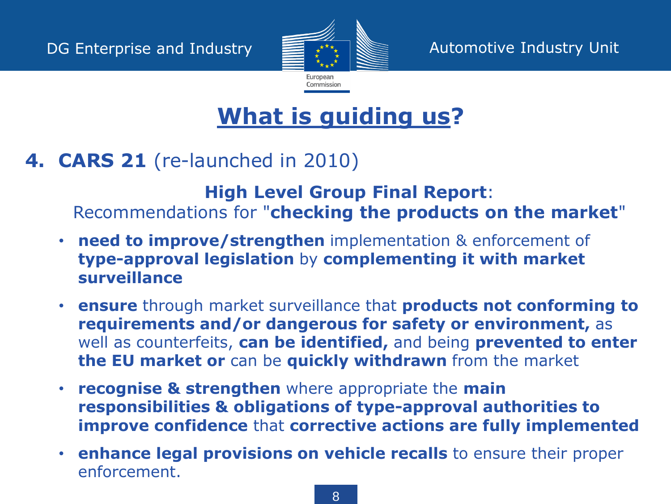

#### **4. CARS 21** (re-launched in 2010)

**High Level Group Final Report**: Recommendations for "**checking the products on the market**"

- **need to improve/strengthen** implementation & enforcement of **type-approval legislation** by **complementing it with market surveillance**
- **ensure** through market surveillance that **products not conforming to requirements and/or dangerous for safety or environment,** as well as counterfeits, **can be identified,** and being **prevented to enter the EU market or** can be **quickly withdrawn** from the market
- **recognise & strengthen** where appropriate the **main responsibilities & obligations of type-approval authorities to improve confidence** that **corrective actions are fully implemented**
- **enhance legal provisions on vehicle recalls** to ensure their proper enforcement.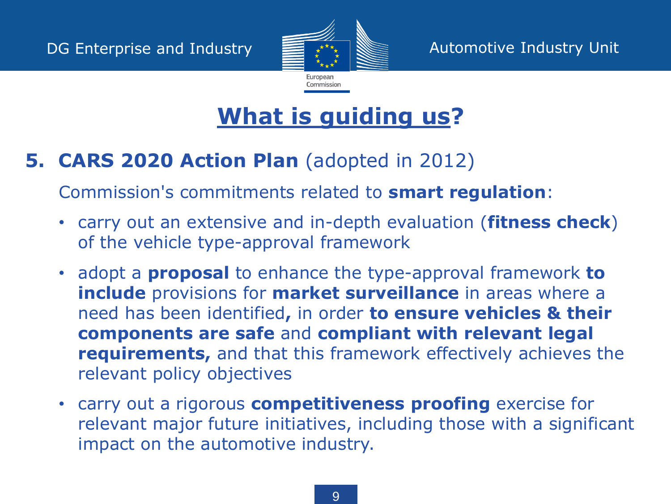

#### **5. CARS 2020 Action Plan** (adopted in 2012)

Commission's commitments related to **smart regulation**:

- carry out an extensive and in-depth evaluation (**fitness check**) of the vehicle type-approval framework
- adopt a **proposal** to enhance the type-approval framework **to include** provisions for **market surveillance** in areas where a need has been identified**,** in order **to ensure vehicles & their components are safe** and **compliant with relevant legal requirements,** and that this framework effectively achieves the relevant policy objectives
- carry out a rigorous **competitiveness proofing** exercise for relevant major future initiatives, including those with a significant impact on the automotive industry.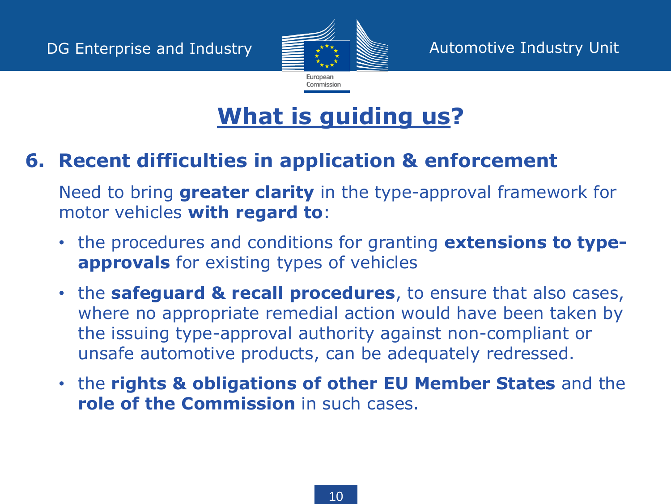

#### **6. Recent difficulties in application & enforcement**

Need to bring **greater clarity** in the type-approval framework for motor vehicles **with regard to**:

- the procedures and conditions for granting **extensions to typeapprovals** for existing types of vehicles
- the **safeguard & recall procedures**, to ensure that also cases, where no appropriate remedial action would have been taken by the issuing type-approval authority against non-compliant or unsafe automotive products, can be adequately redressed.
- the **rights & obligations of other EU Member States** and the **role of the Commission** in such cases.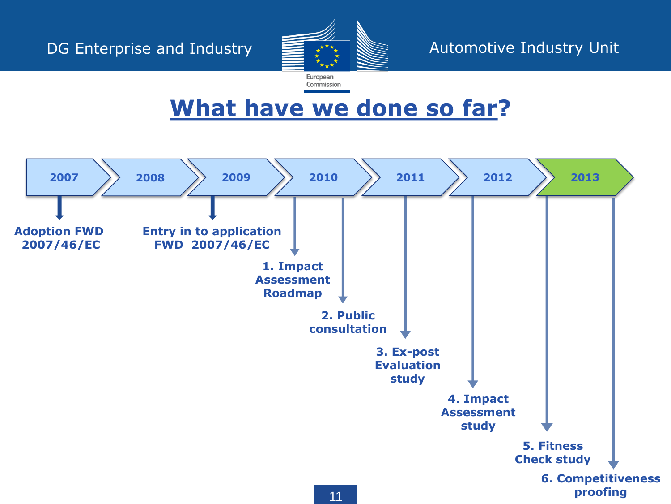

European Commission

## **What have we done so far?**

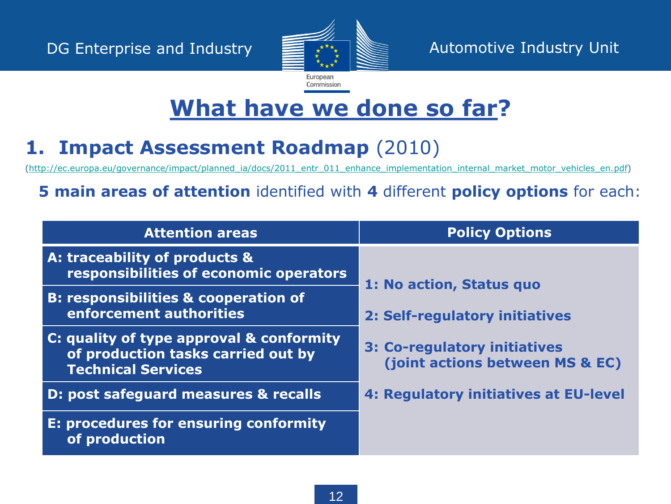

### **1. Impact Assessment Roadmap** (2010)

[\(http://ec.europa.eu/governance/impact/planned\\_ia/docs/2011\\_entr\\_011\\_enhance\\_implementation\\_internal\\_market\\_motor\\_vehicles\\_en.pdf](http://ec.europa.eu/governance/impact/planned_ia/docs/2011_entr_011_enhance_implementation_internal_market_motor_vehicles_en.pdf))

#### **5 main areas of attention** identified with **4** different **policy options** for each:

| <b>Attention areas</b>                                                                                      | <b>Policy Options</b>                                           |
|-------------------------------------------------------------------------------------------------------------|-----------------------------------------------------------------|
| A: traceability of products &<br>responsibilities of economic operators                                     | 1: No action, Status quo                                        |
| <b>B: responsibilities &amp; cooperation of</b><br>enforcement authorities                                  | 2: Self-regulatory initiatives                                  |
| C: quality of type approval & conformity<br>of production tasks carried out by<br><b>Technical Services</b> | 3: Co-regulatory initiatives<br>(joint actions between MS & EC) |
| D: post safeguard measures & recalls                                                                        | 4: Regulatory initiatives at EU-level                           |
| E: procedures for ensuring conformity<br>of production                                                      |                                                                 |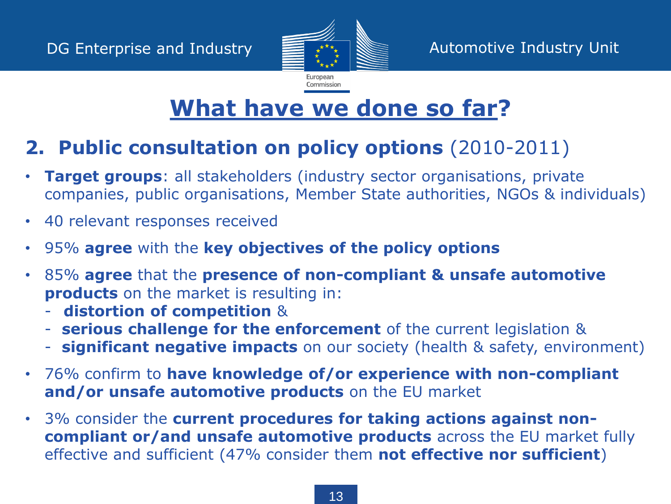

### **2. Public consultation on policy options** (2010-2011)

- **Target groups**: all stakeholders (industry sector organisations, private companies, public organisations, Member State authorities, NGOs & individuals)
- 40 relevant responses received
- 95% **agree** with the **key objectives of the policy options**
- 85% **agree** that the **presence of non-compliant & unsafe automotive products** on the market is resulting in:
	- **distortion of competition** &
	- **serious challenge for the enforcement** of the current legislation &
	- **significant negative impacts** on our society (health & safety, environment)
- 76% confirm to **have knowledge of/or experience with non-compliant and/or unsafe automotive products** on the EU market
- 3% consider the **current procedures for taking actions against noncompliant or/and unsafe automotive products** across the EU market fully effective and sufficient (47% consider them **not effective nor sufficient**)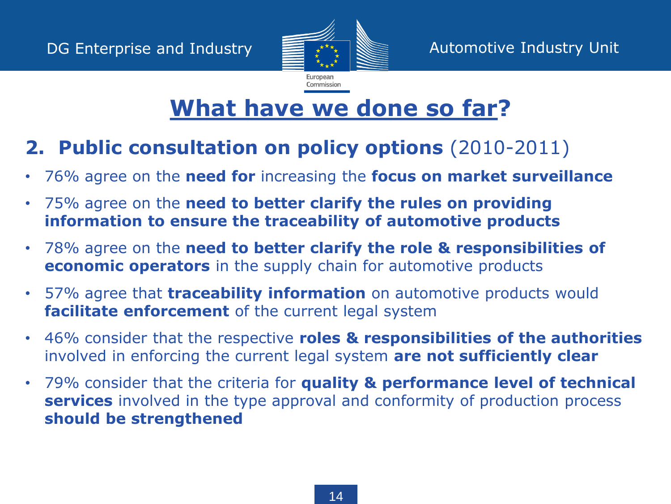

### **2. Public consultation on policy options** (2010-2011)

- 76% agree on the **need for** increasing the **focus on market surveillance**
- 75% agree on the **need to better clarify the rules on providing information to ensure the traceability of automotive products**
- 78% agree on the **need to better clarify the role & responsibilities of economic operators** in the supply chain for automotive products
- 57% agree that **traceability information** on automotive products would **facilitate enforcement** of the current legal system
- 46% consider that the respective **roles & responsibilities of the authorities**  involved in enforcing the current legal system **are not sufficiently clear**
- 79% consider that the criteria for **quality & performance level of technical services** involved in the type approval and conformity of production process **should be strengthened**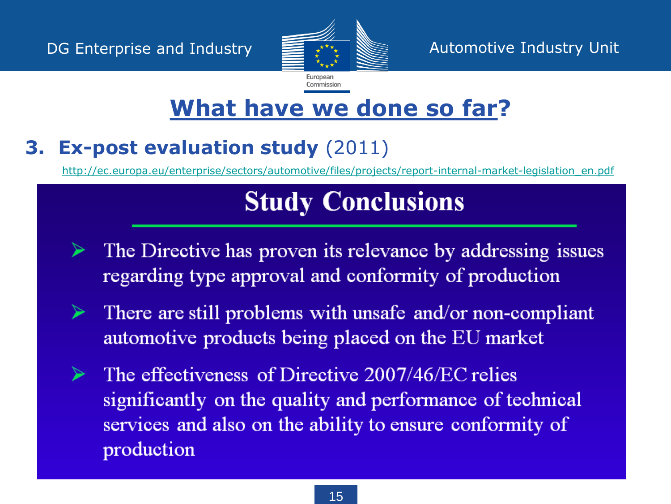

## **3. Ex-post evaluation study** (2011)

[http://ec.europa.eu/enterprise/sectors/automotive/files/projects/report-internal-market-legislation\\_en.pdf](http://ec.europa.eu/enterprise/sectors/automotive/files/projects/report-internal-market-legislation_en.pdf)

# **Study Conclusions**

- The Directive has proven its relevance by addressing issues regarding type approval and conformity of production
- There are still problems with unsafe and/or non-compliant ➤ automotive products being placed on the EU market
- The effectiveness of Directive 2007/46/EC relies significantly on the quality and performance of technical services and also on the ability to ensure conformity of production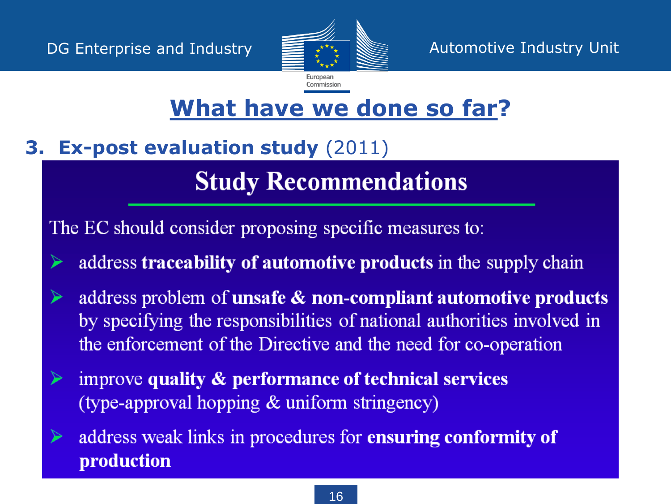

# **3. Ex-post evaluation study** (2011)

# **Study Recommendations**

The EC should consider proposing specific measures to:

- address traceability of automotive products in the supply chain
- address problem of unsafe & non-compliant automotive products by specifying the responsibilities of national authorities involved in the enforcement of the Directive and the need for co-operation
- improve quality & performance of technical services (type-approval hopping & uniform stringency)
- address weak links in procedures for ensuring conformity of ⋗ production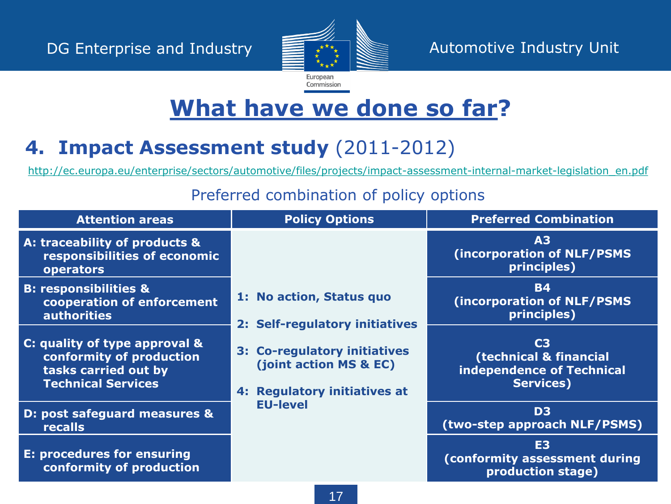

### **4. Impact Assessment study** (2011-2012)

[http://ec.europa.eu/enterprise/sectors/automotive/files/projects/impact-assessment-internal-market-legislation\\_en.pdf](http://ec.europa.eu/enterprise/sectors/automotive/files/projects/impact-assessment-internal-market-legislation_en.pdf)

#### Preferred combination of policy options

| <b>Attention areas</b>                                                                                         | <b>Policy Options</b>                                                                                                                       | <b>Preferred Combination</b>                                                              |
|----------------------------------------------------------------------------------------------------------------|---------------------------------------------------------------------------------------------------------------------------------------------|-------------------------------------------------------------------------------------------|
| A: traceability of products &<br>responsibilities of economic<br>operators                                     |                                                                                                                                             | A3<br>(incorporation of NLF/PSMS<br>principles)                                           |
| <b>B: responsibilities &amp;</b><br>cooperation of enforcement<br><b>authorities</b>                           | 1: No action, Status quo                                                                                                                    | <b>B4</b><br>(incorporation of NLF/PSMS<br>principles)                                    |
| C: quality of type approval &<br>conformity of production<br>tasks carried out by<br><b>Technical Services</b> | 2: Self-regulatory initiatives<br>3: Co-regulatory initiatives<br>(joint action MS & EC)<br>4: Regulatory initiatives at<br><b>EU-level</b> | C <sub>3</sub><br>(technical & financial<br>independence of Technical<br><b>Services)</b> |
| D: post safeguard measures &<br>recalls                                                                        |                                                                                                                                             | D <sub>3</sub><br>(two-step approach NLF/PSMS)                                            |
| <b>E: procedures for ensuring</b><br>conformity of production                                                  |                                                                                                                                             | E <sub>3</sub><br>(conformity assessment during<br>production stage)                      |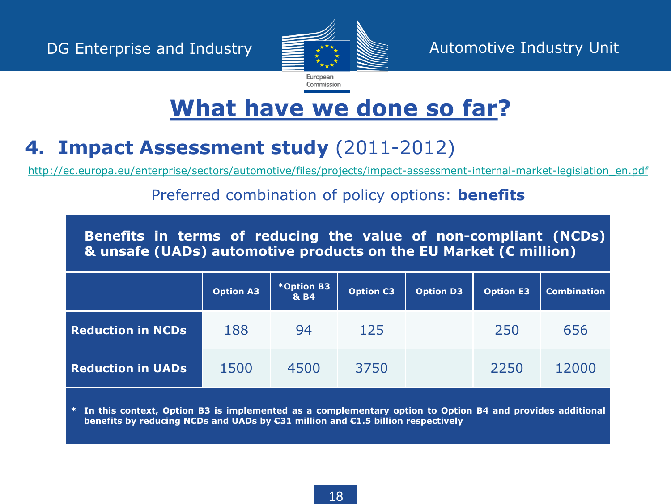

#### **4. Impact Assessment study** (2011-2012)

[http://ec.europa.eu/enterprise/sectors/automotive/files/projects/impact-assessment-internal-market-legislation\\_en.pdf](http://ec.europa.eu/enterprise/sectors/automotive/files/projects/impact-assessment-internal-market-legislation_en.pdf)

#### Preferred combination of policy options: **benefits**

**Benefits in terms of reducing the value of non-compliant (NCDs) & unsafe (UADs) automotive products on the EU Market (€ million)**

|                          | <b>Option A3</b> | *Option B3<br>& B4 | <b>Option C3</b> | <b>Option D3</b> | <b>Option E3</b> | <b>Combination</b> |
|--------------------------|------------------|--------------------|------------------|------------------|------------------|--------------------|
| <b>Reduction in NCDs</b> | 188              | 94                 | 125              |                  | 250              | 656                |
| <b>Reduction in UADs</b> | 1500             | 4500               | 3750             |                  | 2250             | 12000              |

\* In this context, Option B3 is implemented as a complementary option to Option B4 and provides additional **benefits by reducing NCDs and UADs by €31 million and €1.5 billion respectively**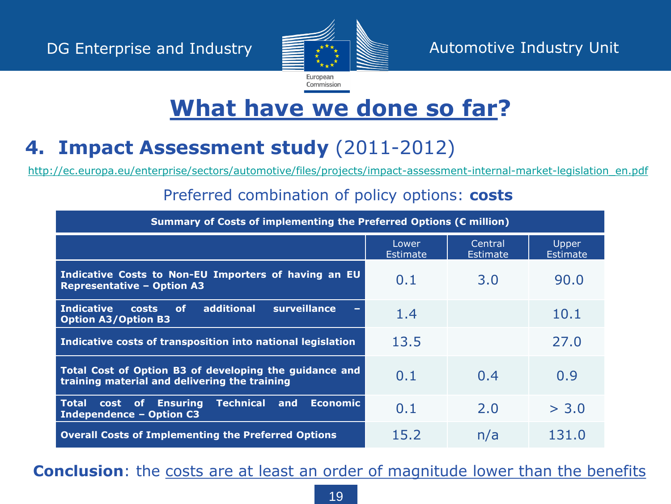

#### **4. Impact Assessment study** (2011-2012)

[http://ec.europa.eu/enterprise/sectors/automotive/files/projects/impact-assessment-internal-market-legislation\\_en.pdf](http://ec.europa.eu/enterprise/sectors/automotive/files/projects/impact-assessment-internal-market-legislation_en.pdf)

#### Preferred combination of policy options: **costs**

| Summary of Costs of implementing the Preferred Options (€ million)                                      |                          |                            |                          |  |  |  |
|---------------------------------------------------------------------------------------------------------|--------------------------|----------------------------|--------------------------|--|--|--|
|                                                                                                         | Lower<br><b>Estimate</b> | Central<br><b>Estimate</b> | Upper<br><b>Estimate</b> |  |  |  |
| Indicative Costs to Non-EU Importers of having an EU<br><b>Representative - Option A3</b>               | 0.1                      | 3.0                        | 90.0                     |  |  |  |
| additional<br>surveillance<br><b>Indicative</b><br><b>of</b><br>costs<br><b>Option A3/Option B3</b>     | 1.4                      |                            | 10.1                     |  |  |  |
| Indicative costs of transposition into national legislation                                             | 13.5                     |                            | 27.0                     |  |  |  |
| Total Cost of Option B3 of developing the guidance and<br>training material and delivering the training | 0.1                      | 0.4                        | 0.9                      |  |  |  |
| Total cost of Ensuring<br><b>Technical</b><br>and<br><b>Economic</b><br><b>Independence - Option C3</b> | 0.1                      | 2.0                        | > 3.0                    |  |  |  |
| <b>Overall Costs of Implementing the Preferred Options</b>                                              | 15.2                     | n/a                        | 131.0                    |  |  |  |

**Conclusion**: the costs are at least an order of magnitude lower than the benefits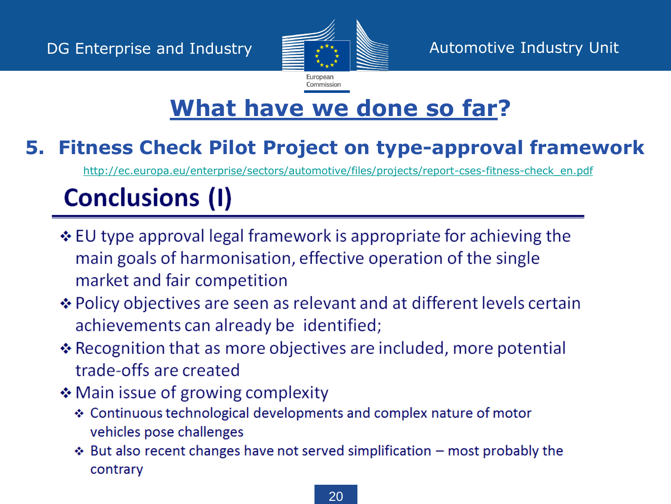

#### **5. Fitness Check Pilot Project on type-approval framework**

[http://ec.europa.eu/enterprise/sectors/automotive/files/projects/report-cses-fitness-check\\_en.pdf](http://ec.europa.eu/enterprise/sectors/automotive/files/projects/report-cses-fitness-check_en.pdf)

# **Conclusions (I)**

- ❖ EU type approval legal framework is appropriate for achieving the main goals of harmonisation, effective operation of the single market and fair competition
- ❖ Policy objectives are seen as relevant and at different levels certain achievements can already be identified;
- $\triangle$  Recognition that as more objectives are included, more potential trade-offs are created
- ❖ Main issue of growing complexity
	- ❖ Continuous technological developments and complex nature of motor vehicles pose challenges
	- $\triangle$  But also recent changes have not served simplification most probably the contrary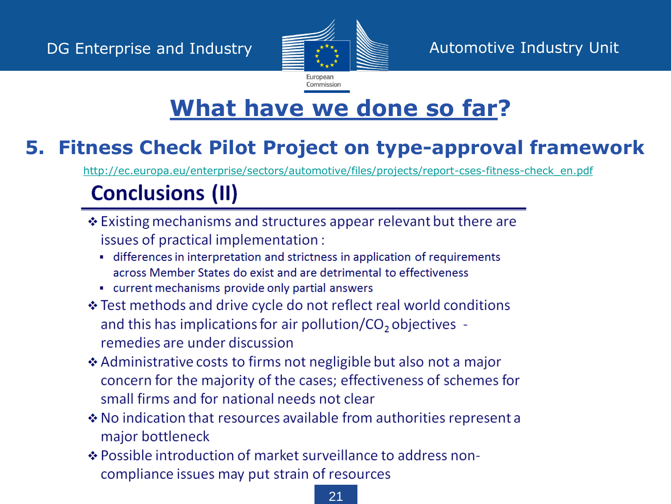

### **5. Fitness Check Pilot Project on type-approval framework**

[http://ec.europa.eu/enterprise/sectors/automotive/files/projects/report-cses-fitness-check\\_en.pdf](http://ec.europa.eu/enterprise/sectors/automotive/files/projects/report-cses-fitness-check_en.pdf)

# **Conclusions (II)**

- ❖ Existing mechanisms and structures appear relevant but there are issues of practical implementation:
	- differences in interpretation and strictness in application of requirements across Member States do exist and are detrimental to effectiveness
	- current mechanisms provide only partial answers
- ❖ Test methods and drive cycle do not reflect real world conditions and this has implications for air pollution/ $CO<sub>2</sub>$  objectives remedies are under discussion
- ❖ Administrative costs to firms not negligible but also not a major concern for the majority of the cases; effectiveness of schemes for small firms and for national needs not clear
- ❖ No indication that resources available from authorities represent a major bottleneck
- ❖ Possible introduction of market surveillance to address noncompliance issues may put strain of resources

#### 21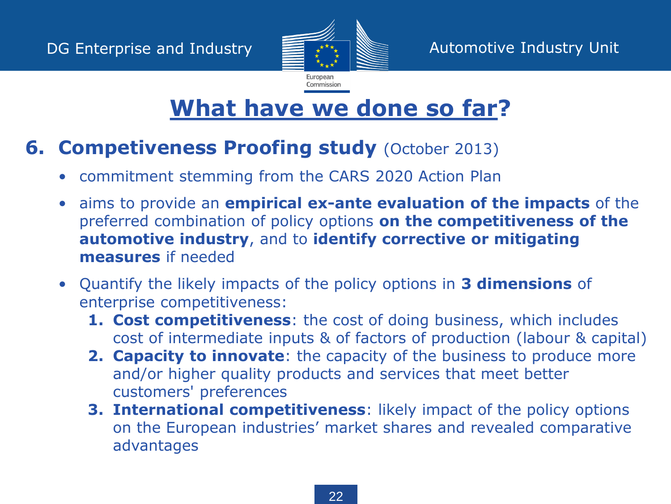

#### **6. Competiveness Proofing study (October 2013)**

- commitment stemming from the CARS 2020 Action Plan
- aims to provide an **empirical ex-ante evaluation of the impacts** of the preferred combination of policy options **on the competitiveness of the automotive industry**, and to **identify corrective or mitigating measures** if needed
- Quantify the likely impacts of the policy options in **3 dimensions** of enterprise competitiveness:
	- **1. Cost competitiveness**: the cost of doing business, which includes cost of intermediate inputs & of factors of production (labour & capital)
	- **2. Capacity to innovate**: the capacity of the business to produce more and/or higher quality products and services that meet better customers' preferences
	- **3. International competitiveness**: likely impact of the policy options on the European industries' market shares and revealed comparative advantages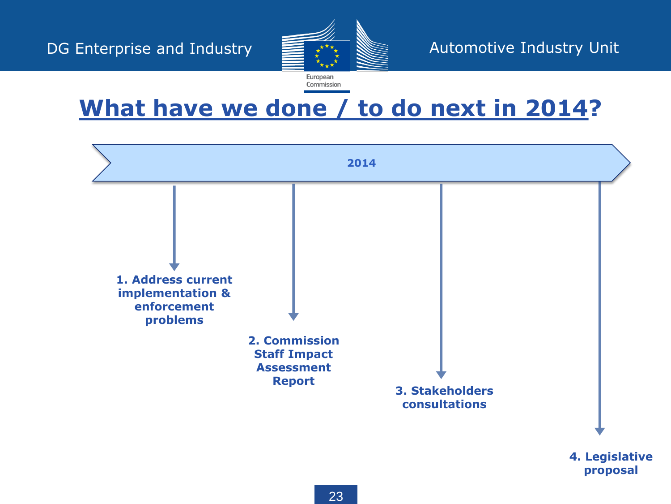

**What have we done / to do next in 2014?**

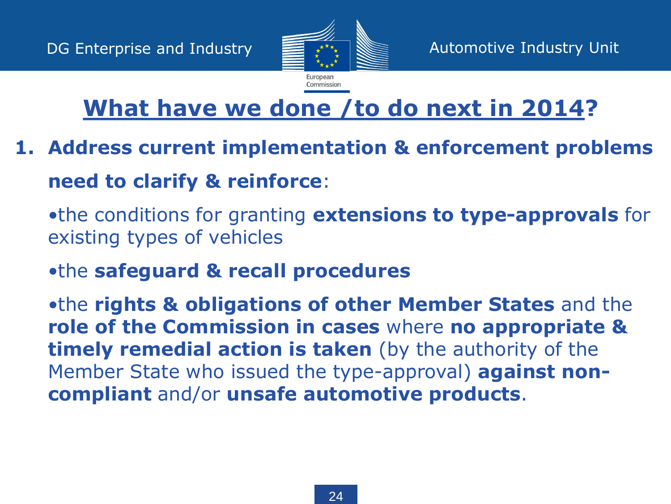

# **What have we done /to do next in 2014?**

- **1. Address current implementation & enforcement problems need to clarify & reinforce**:
	- •the conditions for granting **extensions to type-approvals** for existing types of vehicles
	- •the **safeguard & recall procedures**

•the **rights & obligations of other Member States** and the **role of the Commission in cases** where **no appropriate & timely remedial action is taken** (by the authority of the Member State who issued the type-approval) **against noncompliant** and/or **unsafe automotive products**.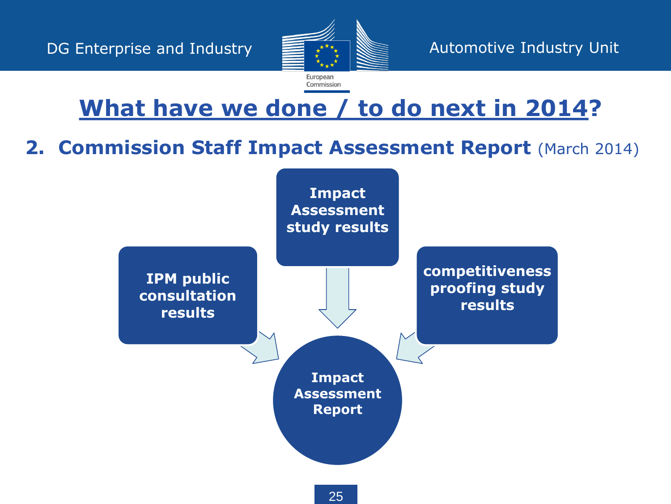

# **What have we done / to do next in 2014?**

#### **2. Commission Staff Impact Assessment Report** (March 2014)

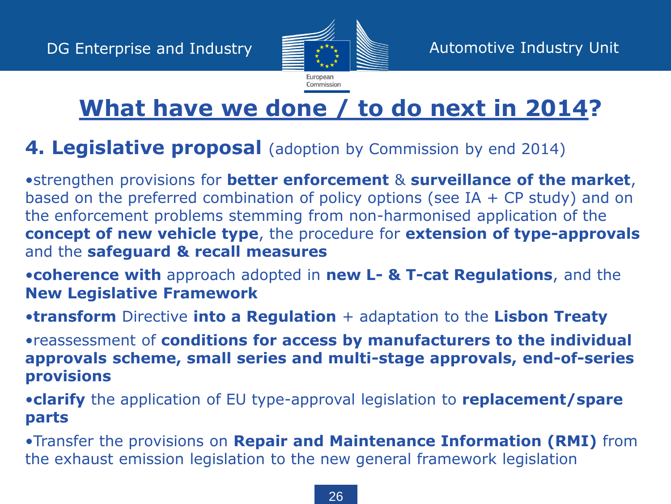

# **What have we done / to do next in 2014?**

#### **4. Legislative proposal** (adoption by Commission by end 2014)

•strengthen provisions for **better enforcement** & **surveillance of the market**, based on the preferred combination of policy options (see IA  $+$  CP study) and on the enforcement problems stemming from non-harmonised application of the **concept of new vehicle type**, the procedure for **extension of type-approvals** and the **safeguard & recall measures**

•**coherence with** approach adopted in **new L- & T-cat Regulations**, and the **New Legislative Framework**

•**transform** Directive **into a Regulation** + adaptation to the **Lisbon Treaty**

•reassessment of **conditions for access by manufacturers to the individual approvals scheme, small series and multi-stage approvals, end-of-series provisions**

•**clarify** the application of EU type-approval legislation to **replacement/spare parts**

•Transfer the provisions on **Repair and Maintenance Information (RMI)** from the exhaust emission legislation to the new general framework legislation